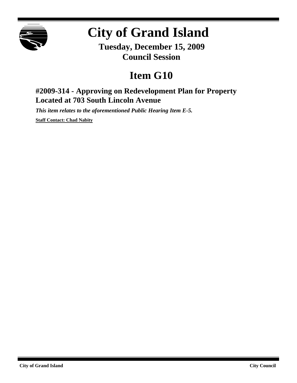

## **City of Grand Island**

**Tuesday, December 15, 2009 Council Session**

## **Item G10**

## **#2009-314 - Approving on Redevelopment Plan for Property Located at 703 South Lincoln Avenue**

*This item relates to the aforementioned Public Hearing Item E-5.*

**Staff Contact: Chad Nabity**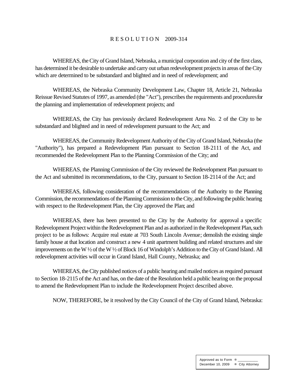## R E S O L U T I O N 2009-314

WHEREAS, the City of Grand Island, Nebraska, a municipal corporation and city of the first class, has determined it be desirable to undertake and carry out urban redevelopment projects in areas of the City which are determined to be substandard and blighted and in need of redevelopment; and

WHEREAS, the Nebraska Community Development Law, Chapter 18, Article 21, Nebraska Reissue Revised Statutes of 1997, as amended (the "Act"), prescribes the requirements and procedures for the planning and implementation of redevelopment projects; and

WHEREAS, the City has previously declared Redevelopment Area No. 2 of the City to be substandard and blighted and in need of redevelopment pursuant to the Act; and

WHEREAS, the Community Redevelopment Authority of the City of Grand Island, Nebraska (the "Authority"), has prepared a Redevelopment Plan pursuant to Section 18-2111 of the Act, and recommended the Redevelopment Plan to the Planning Commission of the City; and

WHEREAS, the Planning Commission of the City reviewed the Redevelopment Plan pursuant to the Act and submitted its recommendations, to the City, pursuant to Section 18-2114 of the Act; and

WHEREAS, following consideration of the recommendations of the Authority to the Planning Commission, the recommendations of the Planning Commission to the City, and following the public hearing with respect to the Redevelopment Plan, the City approved the Plan; and

WHEREAS, there has been presented to the City by the Authority for approval a specific Redevelopment Project within the Redevelopment Plan and as authorized in the Redevelopment Plan, such project to be as follows: Acquire real estate at 703 South Lincoln Avenue; demolish the existing single family house at that location and construct a new 4 unit apartment building and related structures and site improvements on the W 1/2 of the W 1/2 of Block 16 of Windolph's Addition to the City of Grand Island. All redevelopment activities will occur in Grand Island, Hall County, Nebraska; and

WHEREAS, the City published notices of a public hearing and mailed notices as required pursuant to Section 18-2115 of the Act and has, on the date of the Resolution held a public hearing on the proposal to amend the Redevelopment Plan to include the Redevelopment Project described above.

NOW, THEREFORE, be it resolved by the City Council of the City of Grand Island, Nebraska: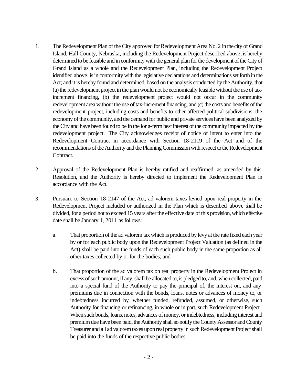- 1. The Redevelopment Plan of the City approved for Redevelopment Area No. 2 in the city of Grand Island, Hall County, Nebraska, including the Redevelopment Project described above, is hereby determined to be feasible and in conformity with the general plan for the development of the City of Grand Island as a whole and the Redevelopment Plan, including the Redevelopment Project identified above, is in conformity with the legislative declarations and determinations set forth in the Act; and it is hereby found and determined, based on the analysis conducted by the Authority, that (a) the redevelopment project in the plan would not be economically feasible without the use of taxincrement financing, (b) the redevelopment project would not occur in the community redevelopment area without the use of tax-increment financing, and (c) the costs and benefits of the redevelopment project, including costs and benefits to other affected political subdivisions, the economy of the community, and the demand for public and private services have been analyzed by the City and have been found to be in the long-term best interest of the community impacted by the redevelopment project. The City acknowledges receipt of notice of intent to enter into the Redevelopment Contract in accordance with Section 18-2119 of the Act and of the recommendations of the Authority and the Planning Commission with respect to the Redevelopment Contract.
- 2. Approval of the Redevelopment Plan is hereby ratified and reaffirmed, as amended by this Resolution, and the Authority is hereby directed to implement the Redevelopment Plan in accordance with the Act.
- 3. Pursuant to Section 18-2147 of the Act, ad valorem taxes levied upon real property in the Redevelopment Project included or authorized in the Plan which is described above shall be divided, for a period not to exceed 15 years after the effective date of this provision, which effective date shall be January 1, 2011 as follows:
	- a. That proportion of the ad valorem tax which is produced by levy at the rate fixed each year by or for each public body upon the Redevelopment Project Valuation (as defined in the Act) shall be paid into the funds of each such public body in the same proportion as all other taxes collected by or for the bodies; and
	- b. That proportion of the ad valorem tax on real property in the Redevelopment Project in excess of such amount, if any, shall be allocated to, is pledged to, and, when collected, paid into a special fund of the Authority to pay the principal of, the interest on, and any premiums due in connection with the bonds, loans, notes or advances of money to, or indebtedness incurred by, whether funded, refunded, assumed, or otherwise, such Authority for financing or refinancing, in whole or in part, such Redevelopment Project. When such bonds, loans, notes, advances of money, or indebtedness, including interest and premium due have been paid, the Authority shall so notify the County Assessor and County Treasurer and all ad valorem taxes upon real property in such Redevelopment Project shall be paid into the funds of the respective public bodies.